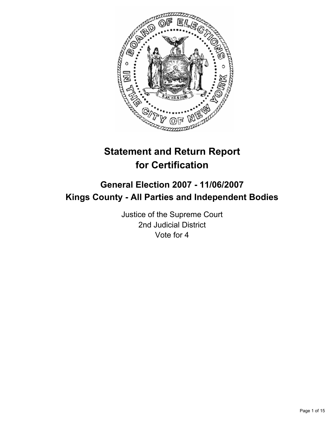

# **Statement and Return Report for Certification**

## **General Election 2007 - 11/06/2007 Kings County - All Parties and Independent Bodies**

Justice of the Supreme Court 2nd Judicial District Vote for 4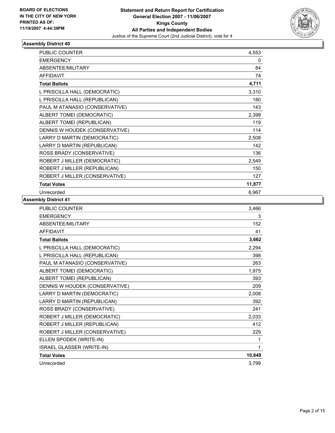

| <b>PUBLIC COUNTER</b>          | 4,553  |
|--------------------------------|--------|
| <b>EMERGENCY</b>               | 0      |
| <b>ABSENTEE/MILITARY</b>       | 84     |
| <b>AFFIDAVIT</b>               | 74     |
| <b>Total Ballots</b>           | 4,711  |
| L PRISCILLA HALL (DEMOCRATIC)  | 3,310  |
| L PRISCILLA HALL (REPUBLICAN)  | 180    |
| PAUL M ATANASIO (CONSERVATIVE) | 143    |
| ALBERT TOMEI (DEMOCRATIC)      | 2,399  |
| ALBERT TOMEI (REPUBLICAN)      | 119    |
| DENNIS W HOUDEK (CONSERVATIVE) | 114    |
| LARRY D MARTIN (DEMOCRATIC)    | 2,508  |
| LARRY D MARTIN (REPUBLICAN)    | 142    |
| ROSS BRADY (CONSERVATIVE)      | 136    |
| ROBERT J MILLER (DEMOCRATIC)   | 2,549  |
| ROBERT J MILLER (REPUBLICAN)   | 150    |
| ROBERT J MILLER (CONSERVATIVE) | 127    |
| <b>Total Votes</b>             | 11,877 |
| Unrecorded                     | 6,967  |

| PUBLIC COUNTER                 | 3,466  |
|--------------------------------|--------|
| <b>EMERGENCY</b>               | 3      |
| ABSENTEE/MILITARY              | 152    |
| <b>AFFIDAVIT</b>               | 41     |
| <b>Total Ballots</b>           | 3,662  |
| L PRISCILLA HALL (DEMOCRATIC)  | 2,294  |
| L PRISCILLA HALL (REPUBLICAN)  | 398    |
| PAUL M ATANASIO (CONSERVATIVE) | 263    |
| ALBERT TOMEI (DEMOCRATIC)      | 1,975  |
| ALBERT TOMEI (REPUBLICAN)      | 393    |
| DENNIS W HOUDEK (CONSERVATIVE) | 209    |
| LARRY D MARTIN (DEMOCRATIC)    | 2,008  |
| LARRY D MARTIN (REPUBLICAN)    | 392    |
| ROSS BRADY (CONSERVATIVE)      | 241    |
| ROBERT J MILLER (DEMOCRATIC)   | 2,033  |
| ROBERT J MILLER (REPUBLICAN)   | 412    |
| ROBERT J MILLER (CONSERVATIVE) | 229    |
| ELLEN SPODEK (WRITE-IN)        | 1      |
| ISRAEL GLASSER (WRITE-IN)      |        |
| <b>Total Votes</b>             | 10,849 |
| Unrecorded                     | 3,799  |
|                                |        |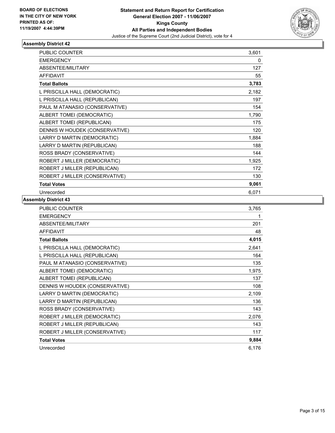

| <b>PUBLIC COUNTER</b>          | 3,601 |  |
|--------------------------------|-------|--|
| <b>EMERGENCY</b>               | 0     |  |
| <b>ABSENTEE/MILITARY</b>       | 127   |  |
| <b>AFFIDAVIT</b>               | 55    |  |
| <b>Total Ballots</b>           | 3,783 |  |
| L PRISCILLA HALL (DEMOCRATIC)  | 2,182 |  |
| L PRISCILLA HALL (REPUBLICAN)  | 197   |  |
| PAUL M ATANASIO (CONSERVATIVE) | 154   |  |
| ALBERT TOMEI (DEMOCRATIC)      | 1,790 |  |
| ALBERT TOMEI (REPUBLICAN)      | 175   |  |
| DENNIS W HOUDEK (CONSERVATIVE) | 120   |  |
| LARRY D MARTIN (DEMOCRATIC)    | 1,884 |  |
| LARRY D MARTIN (REPUBLICAN)    | 188   |  |
| ROSS BRADY (CONSERVATIVE)      | 144   |  |
| ROBERT J MILLER (DEMOCRATIC)   | 1,925 |  |
| ROBERT J MILLER (REPUBLICAN)   | 172   |  |
| ROBERT J MILLER (CONSERVATIVE) | 130   |  |
| <b>Total Votes</b>             | 9,061 |  |
| Unrecorded                     | 6,071 |  |

| <b>PUBLIC COUNTER</b>          | 3,765 |
|--------------------------------|-------|
| <b>EMERGENCY</b>               |       |
| ABSENTEE/MILITARY              | 201   |
| <b>AFFIDAVIT</b>               | 48    |
| <b>Total Ballots</b>           | 4,015 |
| L PRISCILLA HALL (DEMOCRATIC)  | 2,641 |
| L PRISCILLA HALL (REPUBLICAN)  | 164   |
| PAUL M ATANASIO (CONSERVATIVE) | 135   |
| ALBERT TOMEI (DEMOCRATIC)      | 1,975 |
| ALBERT TOMEI (REPUBLICAN)      | 137   |
| DENNIS W HOUDEK (CONSERVATIVE) | 108   |
| LARRY D MARTIN (DEMOCRATIC)    | 2,109 |
| LARRY D MARTIN (REPUBLICAN)    | 136   |
| ROSS BRADY (CONSERVATIVE)      | 143   |
| ROBERT J MILLER (DEMOCRATIC)   | 2,076 |
| ROBERT J MILLER (REPUBLICAN)   | 143   |
| ROBERT J MILLER (CONSERVATIVE) | 117   |
| <b>Total Votes</b>             | 9,884 |
| Unrecorded                     | 6,176 |
|                                |       |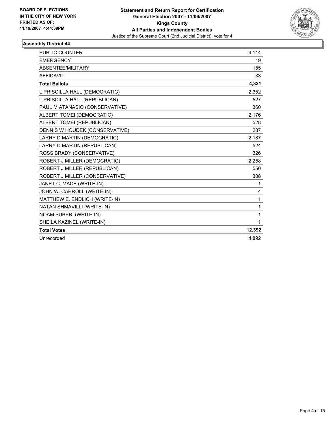

| <b>PUBLIC COUNTER</b>          | 4,114  |
|--------------------------------|--------|
| <b>EMERGENCY</b>               | 19     |
| ABSENTEE/MILITARY              | 155    |
| <b>AFFIDAVIT</b>               | 33     |
| <b>Total Ballots</b>           | 4,321  |
| L PRISCILLA HALL (DEMOCRATIC)  | 2,352  |
| L PRISCILLA HALL (REPUBLICAN)  | 527    |
| PAUL M ATANASIO (CONSERVATIVE) | 360    |
| ALBERT TOMEI (DEMOCRATIC)      | 2,176  |
| ALBERT TOMEI (REPUBLICAN)      | 528    |
| DENNIS W HOUDEK (CONSERVATIVE) | 287    |
| LARRY D MARTIN (DEMOCRATIC)    | 2,187  |
| LARRY D MARTIN (REPUBLICAN)    | 524    |
| ROSS BRADY (CONSERVATIVE)      | 326    |
| ROBERT J MILLER (DEMOCRATIC)   | 2.258  |
| ROBERT J MILLER (REPUBLICAN)   | 550    |
| ROBERT J MILLER (CONSERVATIVE) | 308    |
| JANET C. MACE (WRITE-IN)       | 1      |
| JOHN W. CARROLL (WRITE-IN)     | 4      |
| MATTHEW E. ENDLICH (WRITE-IN)  | 1      |
| NATAN SHMAVILLI (WRITE-IN)     | 1      |
| NOAM SUBERI (WRITE-IN)         | 1      |
| SHEILA KAZINEL (WRITE-IN)      | 1      |
| <b>Total Votes</b>             | 12,392 |
| Unrecorded                     | 4.892  |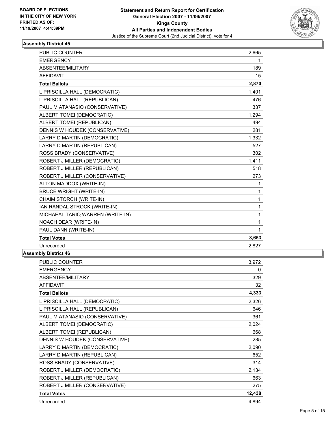

| PUBLIC COUNTER                   | 2,665 |  |
|----------------------------------|-------|--|
| <b>EMERGENCY</b>                 | 1     |  |
| ABSENTEE/MILITARY                | 189   |  |
| <b>AFFIDAVIT</b>                 | 15    |  |
| <b>Total Ballots</b>             | 2,870 |  |
| L PRISCILLA HALL (DEMOCRATIC)    | 1,401 |  |
| L PRISCILLA HALL (REPUBLICAN)    | 476   |  |
| PAUL M ATANASIO (CONSERVATIVE)   | 337   |  |
| ALBERT TOMEI (DEMOCRATIC)        | 1,294 |  |
| ALBERT TOMEI (REPUBLICAN)        | 494   |  |
| DENNIS W HOUDEK (CONSERVATIVE)   | 281   |  |
| LARRY D MARTIN (DEMOCRATIC)      | 1,332 |  |
| LARRY D MARTIN (REPUBLICAN)      | 527   |  |
| ROSS BRADY (CONSERVATIVE)        | 302   |  |
| ROBERT J MILLER (DEMOCRATIC)     | 1,411 |  |
| ROBERT J MILLER (REPUBLICAN)     | 518   |  |
| ROBERT J MILLER (CONSERVATIVE)   | 273   |  |
| ALTON MADDOX (WRITE-IN)          | 1     |  |
| <b>BRUCE WRIGHT (WRITE-IN)</b>   | 1     |  |
| CHAIM STORCH (WRITE-IN)          | 1     |  |
| IAN RANDAL STROCK (WRITE-IN)     | 1     |  |
| MICHAEAL TARIQ WARREN (WRITE-IN) | 1     |  |
| NOACH DEAR (WRITE-IN)            | 1     |  |
| PAUL DANN (WRITE-IN)             | 1     |  |
| <b>Total Votes</b>               | 8,653 |  |
| Unrecorded                       | 2,827 |  |
| nblv District 46                 |       |  |

| <b>PUBLIC COUNTER</b>          | 3,972  |
|--------------------------------|--------|
| <b>EMERGENCY</b>               | 0      |
| ABSENTEE/MILITARY              | 329    |
| <b>AFFIDAVIT</b>               | 32     |
| <b>Total Ballots</b>           | 4,333  |
| L PRISCILLA HALL (DEMOCRATIC)  | 2,326  |
| L PRISCILLA HALL (REPUBLICAN)  | 646    |
| PAUL M ATANASIO (CONSERVATIVE) | 361    |
| ALBERT TOMEI (DEMOCRATIC)      | 2,024  |
| ALBERT TOMEI (REPUBLICAN)      | 668    |
| DENNIS W HOUDEK (CONSERVATIVE) | 285    |
| LARRY D MARTIN (DEMOCRATIC)    | 2,090  |
| LARRY D MARTIN (REPUBLICAN)    | 652    |
| ROSS BRADY (CONSERVATIVE)      | 314    |
| ROBERT J MILLER (DEMOCRATIC)   | 2,134  |
| ROBERT J MILLER (REPUBLICAN)   | 663    |
| ROBERT J MILLER (CONSERVATIVE) | 275    |
| <b>Total Votes</b>             | 12,438 |
| Unrecorded                     | 4,894  |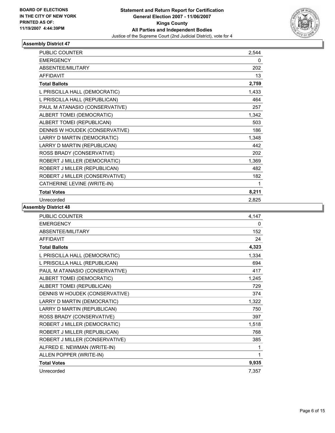

| <b>PUBLIC COUNTER</b>          | 2,544 |  |
|--------------------------------|-------|--|
| <b>EMERGENCY</b>               | 0     |  |
| ABSENTEE/MILITARY              | 202   |  |
| <b>AFFIDAVIT</b>               | 13    |  |
| <b>Total Ballots</b>           | 2,759 |  |
| L PRISCILLA HALL (DEMOCRATIC)  | 1,433 |  |
| L PRISCILLA HALL (REPUBLICAN)  | 464   |  |
| PAUL M ATANASIO (CONSERVATIVE) | 257   |  |
| ALBERT TOMEI (DEMOCRATIC)      | 1,342 |  |
| ALBERT TOMEI (REPUBLICAN)      | 503   |  |
| DENNIS W HOUDEK (CONSERVATIVE) | 186   |  |
| LARRY D MARTIN (DEMOCRATIC)    | 1,348 |  |
| LARRY D MARTIN (REPUBLICAN)    | 442   |  |
| ROSS BRADY (CONSERVATIVE)      | 202   |  |
| ROBERT J MILLER (DEMOCRATIC)   | 1,369 |  |
| ROBERT J MILLER (REPUBLICAN)   | 482   |  |
| ROBERT J MILLER (CONSERVATIVE) | 182   |  |
| CATHERINE LEVINE (WRITE-IN)    |       |  |
| <b>Total Votes</b>             | 8,211 |  |
| Unrecorded                     | 2,825 |  |

| <b>PUBLIC COUNTER</b>          | 4,147 |
|--------------------------------|-------|
| <b>EMERGENCY</b>               | 0     |
| <b>ABSENTEE/MILITARY</b>       | 152   |
| <b>AFFIDAVIT</b>               | 24    |
| <b>Total Ballots</b>           | 4,323 |
| L PRISCILLA HALL (DEMOCRATIC)  | 1,334 |
| L PRISCILLA HALL (REPUBLICAN)  | 694   |
| PAUL M ATANASIO (CONSERVATIVE) | 417   |
| ALBERT TOMEI (DEMOCRATIC)      | 1,245 |
| ALBERT TOMEI (REPUBLICAN)      | 729   |
| DENNIS W HOUDEK (CONSERVATIVE) | 374   |
| LARRY D MARTIN (DEMOCRATIC)    | 1,322 |
| LARRY D MARTIN (REPUBLICAN)    | 750   |
| ROSS BRADY (CONSERVATIVE)      | 397   |
| ROBERT J MILLER (DEMOCRATIC)   | 1,518 |
| ROBERT J MILLER (REPUBLICAN)   | 768   |
| ROBERT J MILLER (CONSERVATIVE) | 385   |
| ALFRED E. NEWMAN (WRITE-IN)    |       |
| ALLEN POPPER (WRITE-IN)        |       |
| <b>Total Votes</b>             | 9,935 |
| Unrecorded                     | 7,357 |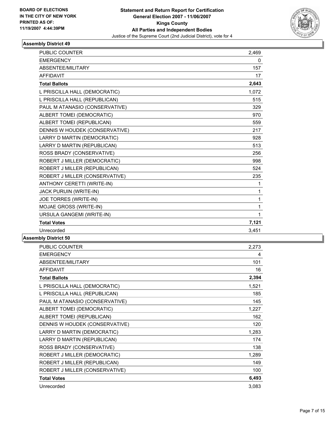

| PUBLIC COUNTER                 | 2,469 |  |
|--------------------------------|-------|--|
| <b>EMERGENCY</b>               | 0     |  |
| ABSENTEE/MILITARY              | 157   |  |
| <b>AFFIDAVIT</b>               | 17    |  |
| <b>Total Ballots</b>           | 2,643 |  |
| L PRISCILLA HALL (DEMOCRATIC)  | 1,072 |  |
| L PRISCILLA HALL (REPUBLICAN)  | 515   |  |
| PAUL M ATANASIO (CONSERVATIVE) | 329   |  |
| ALBERT TOMEI (DEMOCRATIC)      | 970   |  |
| ALBERT TOMEI (REPUBLICAN)      | 559   |  |
| DENNIS W HOUDEK (CONSERVATIVE) | 217   |  |
| LARRY D MARTIN (DEMOCRATIC)    | 928   |  |
| LARRY D MARTIN (REPUBLICAN)    | 513   |  |
| ROSS BRADY (CONSERVATIVE)      | 256   |  |
| ROBERT J MILLER (DEMOCRATIC)   | 998   |  |
| ROBERT J MILLER (REPUBLICAN)   | 524   |  |
| ROBERT J MILLER (CONSERVATIVE) | 235   |  |
| ANTHONY CERETTI (WRITE-IN)     | 1     |  |
| <b>JACK PURUIN (WRITE-IN)</b>  | 1     |  |
| JOE TORRES (WRITE-IN)          | 1     |  |
| MOJAE GROSS (WRITE-IN)         | 1     |  |
| URSULA GANGEMI (WRITE-IN)      | 1     |  |
| <b>Total Votes</b>             | 7,121 |  |
| Unrecorded                     | 3,451 |  |
|                                |       |  |

| <b>PUBLIC COUNTER</b>          | 2,273 |
|--------------------------------|-------|
| <b>EMERGENCY</b>               | 4     |
| ABSENTEE/MILITARY              | 101   |
| <b>AFFIDAVIT</b>               | 16    |
| <b>Total Ballots</b>           | 2,394 |
| L PRISCILLA HALL (DEMOCRATIC)  | 1,521 |
| L PRISCILLA HALL (REPUBLICAN)  | 185   |
| PAUL M ATANASIO (CONSERVATIVE) | 145   |
| ALBERT TOMEI (DEMOCRATIC)      | 1,227 |
| ALBERT TOMEI (REPUBLICAN)      | 162   |
| DENNIS W HOUDEK (CONSERVATIVE) | 120   |
| LARRY D MARTIN (DEMOCRATIC)    | 1,283 |
| LARRY D MARTIN (REPUBLICAN)    | 174   |
| ROSS BRADY (CONSERVATIVE)      | 138   |
| ROBERT J MILLER (DEMOCRATIC)   | 1,289 |
| ROBERT J MILLER (REPUBLICAN)   | 149   |
| ROBERT J MILLER (CONSERVATIVE) | 100   |
| <b>Total Votes</b>             | 6,493 |
| Unrecorded                     | 3,083 |
|                                |       |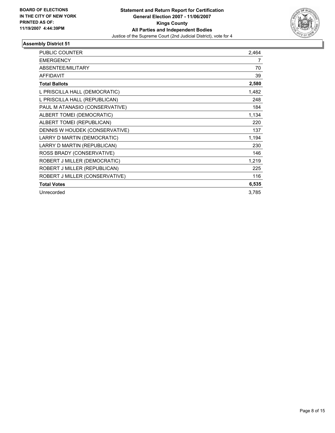

| <b>PUBLIC COUNTER</b>          | 2,464 |
|--------------------------------|-------|
| <b>EMERGENCY</b>               | 7     |
| ABSENTEE/MILITARY              | 70    |
| <b>AFFIDAVIT</b>               | 39    |
| <b>Total Ballots</b>           | 2,580 |
| L PRISCILLA HALL (DEMOCRATIC)  | 1,482 |
| L PRISCILLA HALL (REPUBLICAN)  | 248   |
| PAUL M ATANASIO (CONSERVATIVE) | 184   |
| ALBERT TOMEI (DEMOCRATIC)      | 1,134 |
| ALBERT TOMEI (REPUBLICAN)      | 220   |
| DENNIS W HOUDEK (CONSERVATIVE) | 137   |
| LARRY D MARTIN (DEMOCRATIC)    | 1,194 |
| LARRY D MARTIN (REPUBLICAN)    | 230   |
| ROSS BRADY (CONSERVATIVE)      | 146   |
| ROBERT J MILLER (DEMOCRATIC)   | 1,219 |
| ROBERT J MILLER (REPUBLICAN)   | 225   |
| ROBERT J MILLER (CONSERVATIVE) | 116   |
| <b>Total Votes</b>             | 6,535 |
| Unrecorded                     | 3,785 |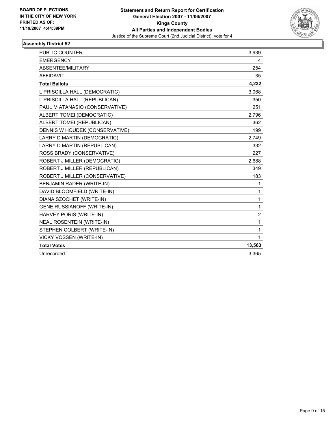

| PUBLIC COUNTER                    | 3,939          |
|-----------------------------------|----------------|
| <b>EMERGENCY</b>                  | 4              |
| ABSENTEE/MILITARY                 | 254            |
| <b>AFFIDAVIT</b>                  | 35             |
| <b>Total Ballots</b>              | 4,232          |
| L PRISCILLA HALL (DEMOCRATIC)     | 3,068          |
| L PRISCILLA HALL (REPUBLICAN)     | 350            |
| PAUL M ATANASIO (CONSERVATIVE)    | 251            |
| ALBERT TOMEI (DEMOCRATIC)         | 2.796          |
| ALBERT TOMEI (REPUBLICAN)         | 362            |
| DENNIS W HOUDEK (CONSERVATIVE)    | 199            |
| LARRY D MARTIN (DEMOCRATIC)       | 2,749          |
| LARRY D MARTIN (REPUBLICAN)       | 332            |
| ROSS BRADY (CONSERVATIVE)         | 227            |
| ROBERT J MILLER (DEMOCRATIC)      | 2,688          |
| ROBERT J MILLER (REPUBLICAN)      | 349            |
| ROBERT J MILLER (CONSERVATIVE)    | 183            |
| BENJAMIN RADER (WRITE-IN)         | 1              |
| DAVID BLOOMFIELD (WRITE-IN)       | 1              |
| DIANA SZOCHET (WRITE-IN)          | 1              |
| <b>GENE RUSSIANOFF (WRITE-IN)</b> | 1              |
| HARVEY PORIS (WRITE-IN)           | $\overline{2}$ |
| <b>NEAL ROSENTEIN (WRITE-IN)</b>  | 1              |
| STEPHEN COLBERT (WRITE-IN)        | 1              |
| VICKY VOSSEN (WRITE-IN)           | 1              |
| <b>Total Votes</b>                | 13,563         |
| Unrecorded                        | 3.365          |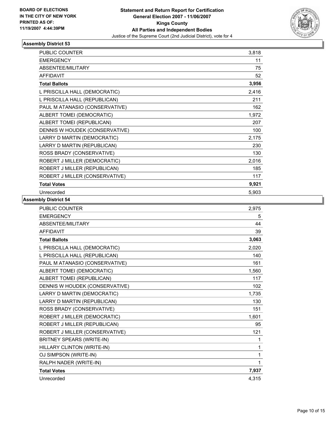

| <b>PUBLIC COUNTER</b>          | 3,818 |
|--------------------------------|-------|
| <b>EMERGENCY</b>               | 11    |
| <b>ABSENTEE/MILITARY</b>       | 75    |
| <b>AFFIDAVIT</b>               | 52    |
| <b>Total Ballots</b>           | 3,956 |
| L PRISCILLA HALL (DEMOCRATIC)  | 2,416 |
| L PRISCILLA HALL (REPUBLICAN)  | 211   |
| PAUL M ATANASIO (CONSERVATIVE) | 162   |
| ALBERT TOMEI (DEMOCRATIC)      | 1,972 |
| ALBERT TOMEI (REPUBLICAN)      | 207   |
| DENNIS W HOUDEK (CONSERVATIVE) | 100   |
| LARRY D MARTIN (DEMOCRATIC)    | 2,175 |
| LARRY D MARTIN (REPUBLICAN)    | 230   |
| ROSS BRADY (CONSERVATIVE)      | 130   |
| ROBERT J MILLER (DEMOCRATIC)   | 2,016 |
| ROBERT J MILLER (REPUBLICAN)   | 185   |
| ROBERT J MILLER (CONSERVATIVE) | 117   |
| <b>Total Votes</b>             | 9,921 |
| Unrecorded                     | 5,903 |

| PUBLIC COUNTER                   | 2,975 |
|----------------------------------|-------|
| <b>EMERGENCY</b>                 | 5     |
| ABSENTEE/MILITARY                | 44    |
| <b>AFFIDAVIT</b>                 | 39    |
| <b>Total Ballots</b>             | 3,063 |
| L PRISCILLA HALL (DEMOCRATIC)    | 2,020 |
| L PRISCILLA HALL (REPUBLICAN)    | 140   |
| PAUL M ATANASIO (CONSERVATIVE)   | 161   |
| ALBERT TOMEI (DEMOCRATIC)        | 1,560 |
| ALBERT TOMEI (REPUBLICAN)        | 117   |
| DENNIS W HOUDEK (CONSERVATIVE)   | 102   |
| LARRY D MARTIN (DEMOCRATIC)      | 1,735 |
| LARRY D MARTIN (REPUBLICAN)      | 130   |
| ROSS BRADY (CONSERVATIVE)        | 151   |
| ROBERT J MILLER (DEMOCRATIC)     | 1,601 |
| ROBERT J MILLER (REPUBLICAN)     | 95    |
| ROBERT J MILLER (CONSERVATIVE)   | 121   |
| <b>BRITNEY SPEARS (WRITE-IN)</b> | 1     |
| HILLARY CLINTON (WRITE-IN)       | 1     |
| OJ SIMPSON (WRITE-IN)            | 1     |
| RALPH NADER (WRITE-IN)           | 1     |
| <b>Total Votes</b>               | 7,937 |
| Unrecorded                       | 4,315 |
|                                  |       |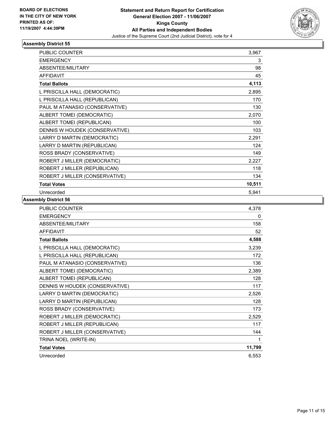

| <b>PUBLIC COUNTER</b>          | 3,967  |
|--------------------------------|--------|
| <b>EMERGENCY</b>               | 3      |
| <b>ABSENTEE/MILITARY</b>       | 98     |
| <b>AFFIDAVIT</b>               | 45     |
| <b>Total Ballots</b>           | 4,113  |
| L PRISCILLA HALL (DEMOCRATIC)  | 2,895  |
| L PRISCILLA HALL (REPUBLICAN)  | 170    |
| PAUL M ATANASIO (CONSERVATIVE) | 130    |
| ALBERT TOMEI (DEMOCRATIC)      | 2,070  |
| ALBERT TOMEI (REPUBLICAN)      | 100    |
| DENNIS W HOUDEK (CONSERVATIVE) | 103    |
| LARRY D MARTIN (DEMOCRATIC)    | 2,291  |
| LARRY D MARTIN (REPUBLICAN)    | 124    |
| ROSS BRADY (CONSERVATIVE)      | 149    |
| ROBERT J MILLER (DEMOCRATIC)   | 2,227  |
| ROBERT J MILLER (REPUBLICAN)   | 118    |
| ROBERT J MILLER (CONSERVATIVE) | 134    |
| <b>Total Votes</b>             | 10,511 |
| Unrecorded                     | 5,941  |

| PUBLIC COUNTER                 | 4,378  |
|--------------------------------|--------|
| <b>EMERGENCY</b>               | 0      |
| ABSENTEE/MILITARY              | 158    |
| <b>AFFIDAVIT</b>               | 52     |
| <b>Total Ballots</b>           | 4,588  |
| L PRISCILLA HALL (DEMOCRATIC)  | 3,239  |
| L PRISCILLA HALL (REPUBLICAN)  | 172    |
| PAUL M ATANASIO (CONSERVATIVE) | 136    |
| ALBERT TOMEI (DEMOCRATIC)      | 2,389  |
| ALBERT TOMEI (REPUBLICAN)      | 128    |
| DENNIS W HOUDEK (CONSERVATIVE) | 117    |
| LARRY D MARTIN (DEMOCRATIC)    | 2,526  |
| LARRY D MARTIN (REPUBLICAN)    | 128    |
| ROSS BRADY (CONSERVATIVE)      | 173    |
| ROBERT J MILLER (DEMOCRATIC)   | 2,529  |
| ROBERT J MILLER (REPUBLICAN)   | 117    |
| ROBERT J MILLER (CONSERVATIVE) | 144    |
| TRINA NOEL (WRITE-IN)          | 1      |
| <b>Total Votes</b>             | 11,799 |
| Unrecorded                     | 6,553  |
|                                |        |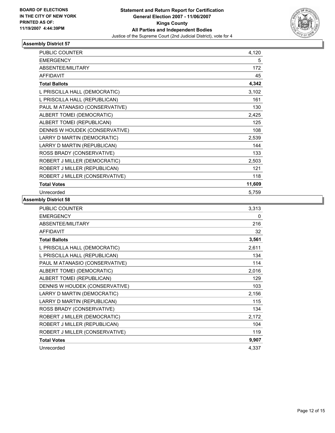

| PUBLIC COUNTER                 | 4,120  |
|--------------------------------|--------|
| <b>EMERGENCY</b>               | 5      |
| ABSENTEE/MILITARY              | 172    |
| <b>AFFIDAVIT</b>               | 45     |
| <b>Total Ballots</b>           | 4,342  |
| L PRISCILLA HALL (DEMOCRATIC)  | 3,102  |
| L PRISCILLA HALL (REPUBLICAN)  | 161    |
| PAUL M ATANASIO (CONSERVATIVE) | 130    |
| ALBERT TOMEI (DEMOCRATIC)      | 2,425  |
| ALBERT TOMEI (REPUBLICAN)      | 125    |
| DENNIS W HOUDEK (CONSERVATIVE) | 108    |
| LARRY D MARTIN (DEMOCRATIC)    | 2,539  |
| LARRY D MARTIN (REPUBLICAN)    | 144    |
| ROSS BRADY (CONSERVATIVE)      | 133    |
| ROBERT J MILLER (DEMOCRATIC)   | 2,503  |
| ROBERT J MILLER (REPUBLICAN)   | 121    |
| ROBERT J MILLER (CONSERVATIVE) | 118    |
| <b>Total Votes</b>             | 11,609 |
| Unrecorded                     | 5,759  |

| <b>PUBLIC COUNTER</b>          | 3,313 |
|--------------------------------|-------|
| <b>EMERGENCY</b>               | 0     |
| ABSENTEE/MILITARY              | 216   |
| <b>AFFIDAVIT</b>               | 32    |
| <b>Total Ballots</b>           | 3,561 |
| L PRISCILLA HALL (DEMOCRATIC)  | 2,611 |
| L PRISCILLA HALL (REPUBLICAN)  | 134   |
| PAUL M ATANASIO (CONSERVATIVE) | 114   |
| ALBERT TOMEI (DEMOCRATIC)      | 2,016 |
| ALBERT TOMEI (REPUBLICAN)      | 129   |
| DENNIS W HOUDEK (CONSERVATIVE) | 103   |
| LARRY D MARTIN (DEMOCRATIC)    | 2,156 |
| LARRY D MARTIN (REPUBLICAN)    | 115   |
| ROSS BRADY (CONSERVATIVE)      | 134   |
| ROBERT J MILLER (DEMOCRATIC)   | 2,172 |
| ROBERT J MILLER (REPUBLICAN)   | 104   |
| ROBERT J MILLER (CONSERVATIVE) | 119   |
| <b>Total Votes</b>             | 9,907 |
| Unrecorded                     | 4,337 |
|                                |       |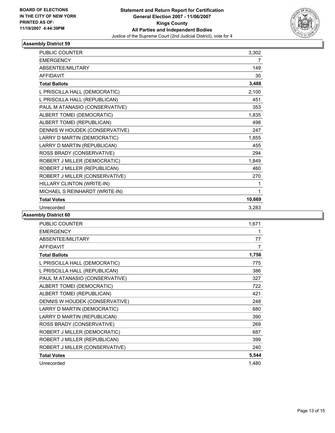

| <b>PUBLIC COUNTER</b>          | 3,302  |
|--------------------------------|--------|
| <b>EMERGENCY</b>               | 7      |
| ABSENTEE/MILITARY              | 149    |
| <b>AFFIDAVIT</b>               | 30     |
| <b>Total Ballots</b>           | 3,488  |
| L PRISCILLA HALL (DEMOCRATIC)  | 2,100  |
| L PRISCILLA HALL (REPUBLICAN)  | 451    |
| PAUL M ATANASIO (CONSERVATIVE) | 353    |
| ALBERT TOMEI (DEMOCRATIC)      | 1,835  |
| ALBERT TOMEI (REPUBLICAN)      | 498    |
| DENNIS W HOUDEK (CONSERVATIVE) | 247    |
| LARRY D MARTIN (DEMOCRATIC)    | 1,855  |
| LARRY D MARTIN (REPUBLICAN)    | 455    |
| ROSS BRADY (CONSERVATIVE)      | 294    |
| ROBERT J MILLER (DEMOCRATIC)   | 1,849  |
| ROBERT J MILLER (REPUBLICAN)   | 460    |
| ROBERT J MILLER (CONSERVATIVE) | 270    |
| HILLARY CLINTON (WRITE-IN)     |        |
| MICHAEL S REINHARDT (WRITE-IN) | 1      |
| <b>Total Votes</b>             | 10,669 |
| Unrecorded                     | 3,283  |

| PUBLIC COUNTER                 | 1,671 |
|--------------------------------|-------|
| <b>EMERGENCY</b>               |       |
| ABSENTEE/MILITARY              | 77    |
| <b>AFFIDAVIT</b>               | 7     |
| <b>Total Ballots</b>           | 1,756 |
| L PRISCILLA HALL (DEMOCRATIC)  | 775   |
| L PRISCILLA HALL (REPUBLICAN)  | 386   |
| PAUL M ATANASIO (CONSERVATIVE) | 327   |
| ALBERT TOMEI (DEMOCRATIC)      | 722   |
| ALBERT TOMEI (REPUBLICAN)      | 421   |
| DENNIS W HOUDEK (CONSERVATIVE) | 248   |
| LARRY D MARTIN (DEMOCRATIC)    | 680   |
| LARRY D MARTIN (REPUBLICAN)    | 390   |
| ROSS BRADY (CONSERVATIVE)      | 269   |
| ROBERT J MILLER (DEMOCRATIC)   | 687   |
| ROBERT J MILLER (REPUBLICAN)   | 399   |
| ROBERT J MILLER (CONSERVATIVE) | 240   |
| <b>Total Votes</b>             | 5,544 |
| Unrecorded                     | 1,480 |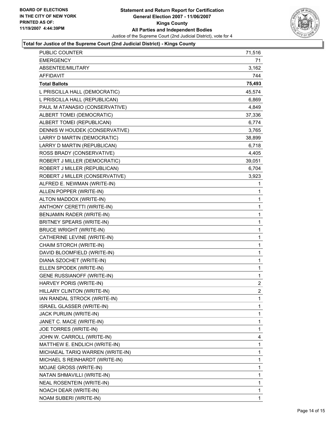

### **Total for Justice of the Supreme Court (2nd Judicial District) - Kings County**

| PUBLIC COUNTER                    | 71,516                  |
|-----------------------------------|-------------------------|
| <b>EMERGENCY</b>                  | 71                      |
| ABSENTEE/MILITARY                 | 3,162                   |
| AFFIDAVIT                         | 744                     |
| <b>Total Ballots</b>              | 75,493                  |
| L PRISCILLA HALL (DEMOCRATIC)     | 45,574                  |
| L PRISCILLA HALL (REPUBLICAN)     | 6,869                   |
| PAUL M ATANASIO (CONSERVATIVE)    | 4,849                   |
| ALBERT TOMEI (DEMOCRATIC)         | 37,336                  |
| ALBERT TOMEI (REPUBLICAN)         | 6,774                   |
| DENNIS W HOUDEK (CONSERVATIVE)    | 3,765                   |
| LARRY D MARTIN (DEMOCRATIC)       | 38,899                  |
| LARRY D MARTIN (REPUBLICAN)       | 6,718                   |
| ROSS BRADY (CONSERVATIVE)         | 4,405                   |
| ROBERT J MILLER (DEMOCRATIC)      | 39,051                  |
| ROBERT J MILLER (REPUBLICAN)      | 6,704                   |
| ROBERT J MILLER (CONSERVATIVE)    | 3,923                   |
| ALFRED E. NEWMAN (WRITE-IN)       | 1                       |
| ALLEN POPPER (WRITE-IN)           | 1                       |
| ALTON MADDOX (WRITE-IN)           | 1                       |
| ANTHONY CERETTI (WRITE-IN)        | 1                       |
| BENJAMIN RADER (WRITE-IN)         | $\mathbf 1$             |
| BRITNEY SPEARS (WRITE-IN)         | 1                       |
| <b>BRUCE WRIGHT (WRITE-IN)</b>    | 1                       |
| CATHERINE LEVINE (WRITE-IN)       | 1                       |
| CHAIM STORCH (WRITE-IN)           | 1                       |
| DAVID BLOOMFIELD (WRITE-IN)       | 1                       |
| DIANA SZOCHET (WRITE-IN)          | 1                       |
| ELLEN SPODEK (WRITE-IN)           | $\mathbf 1$             |
| <b>GENE RUSSIANOFF (WRITE-IN)</b> | 1                       |
| HARVEY PORIS (WRITE-IN)           | $\overline{\mathbf{c}}$ |
| HILLARY CLINTON (WRITE-IN)        | $\overline{2}$          |
| IAN RANDAL STROCK (WRITE-IN)      | 1                       |
| <b>ISRAEL GLASSER (WRITE-IN)</b>  | 1                       |
| JACK PURUIN (WRITE-IN)            | 1                       |
| JANET C. MACE (WRITE-IN)          | 1                       |
| JOE TORRES (WRITE-IN)             | 1                       |
| JOHN W. CARROLL (WRITE-IN)        | 4                       |
| MATTHEW E. ENDLICH (WRITE-IN)     | 1                       |
| MICHAEAL TARIQ WARREN (WRITE-IN)  | 1                       |
| MICHAEL S REINHARDT (WRITE-IN)    | 1                       |
| MOJAE GROSS (WRITE-IN)            | 1                       |
| NATAN SHMAVILLI (WRITE-IN)        | 1                       |
| NEAL ROSENTEIN (WRITE-IN)         | 1                       |
| NOACH DEAR (WRITE-IN)             | 1                       |
| NOAM SUBERI (WRITE-IN)            | 1                       |
|                                   |                         |